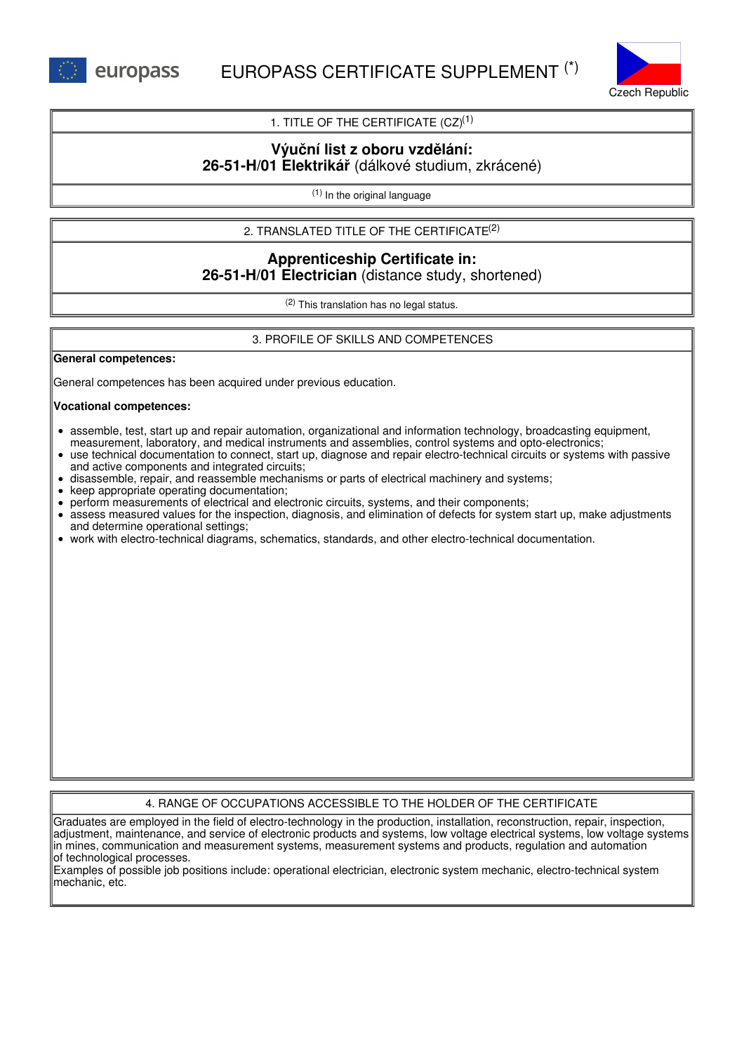



1. TITLE OF THE CERTIFICATE  $(CZ)^{(1)}$ 

## **Výuční list z oboru vzdělání: 26-51-H/01 Elektrikář** (dálkové studium, zkrácené)

(1) In the original language

2. TRANSLATED TITLE OF THE CERTIFICATE (2)

# **Apprenticeship Certificate in: 26-51-H/01 Electrician** (distance study, shortened)

(2) This translation has no legal status.

3. PROFILE OF SKILLS AND COMPETENCES

**General competences:**

General competences has been acquired under previous education.

### **Vocational competences:**

- assemble, test, start up and repair automation, organizational and information technology, broadcasting equipment, measurement, laboratory, and medical instruments and assemblies, control systems and opto-electronics;
- use technical documentation to connect, start up, diagnose and repair electro-technical circuits or systems with passive and active components and integrated circuits;
- disassemble, repair, and reassemble mechanisms or parts of electrical machinery and systems;
- keep appropriate operating documentation;
- perform measurements of electrical and electronic circuits, systems, and their components;
- assess measured values for the inspection, diagnosis, and elimination of defects for system start up, make adjustments and determine operational settings;
- work with electro-technical diagrams, schematics, standards, and other electro-technical documentation.

## 4. RANGE OF OCCUPATIONS ACCESSIBLE TO THE HOLDER OF THE CERTIFICATE

Graduates are employed in the field of electro-technology in the production, installation, reconstruction, repair, inspection, adjustment, maintenance, and service of electronic products and systems, low voltage electrical systems, low voltage systems in mines, communication and measurement systems, measurement systems and products, regulation and automation of technological processes.

Examples of possible job positions include: operational electrician, electronic system mechanic, electro-technical system mechanic, etc.